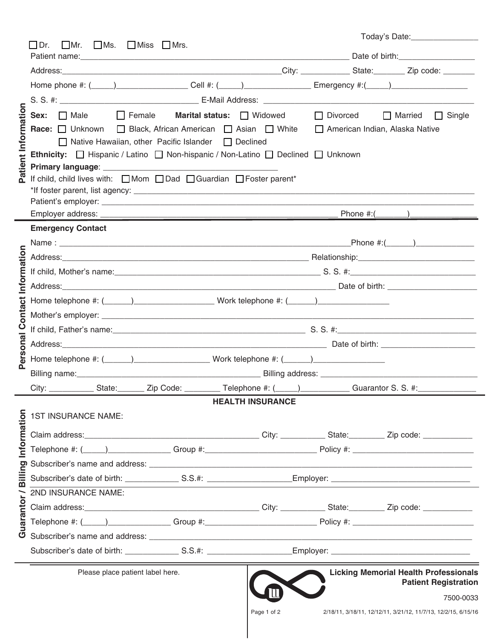|                  |                                                                                                               |                         | Today's Date: __________________                                            |
|------------------|---------------------------------------------------------------------------------------------------------------|-------------------------|-----------------------------------------------------------------------------|
|                  | $\Box$ Ms. $\Box$ Miss $\Box$ Mrs.<br>$\Box$ Dr.<br>$\Box$ Mr.                                                |                         |                                                                             |
|                  |                                                                                                               |                         |                                                                             |
|                  | Home phone #: (____)___________________Cell #: (____)_____________________Emergency #:(____)_________________ |                         |                                                                             |
|                  |                                                                                                               |                         |                                                                             |
|                  | Sex: □ Male □ Female Marital status: □ Widowed                                                                |                         | □ Divorced □ Married □ Single                                               |
|                  | Race: Unknown   Black, African American   Asian   White   American Indian, Alaska Native                      |                         |                                                                             |
| tient Informatio | □ Native Hawaiian, other Pacific Islander □ Declined                                                          |                         |                                                                             |
|                  | Ethnicity: □ Hispanic / Latino □ Non-hispanic / Non-Latino □ Declined □ Unknown                               |                         |                                                                             |
|                  |                                                                                                               |                         |                                                                             |
| Q.               | If child, child lives with: □ Mom □ Dad □ Guardian □ Foster parent*                                           |                         |                                                                             |
|                  |                                                                                                               |                         |                                                                             |
|                  |                                                                                                               |                         |                                                                             |
|                  | <b>Emergency Contact</b>                                                                                      |                         |                                                                             |
|                  |                                                                                                               |                         | Phone #:(_______)_______________                                            |
|                  |                                                                                                               |                         |                                                                             |
| Information      |                                                                                                               |                         |                                                                             |
|                  |                                                                                                               |                         |                                                                             |
| ಕ                |                                                                                                               |                         |                                                                             |
| onta             |                                                                                                               |                         |                                                                             |
| $\mathbf C$      |                                                                                                               |                         |                                                                             |
|                  |                                                                                                               |                         |                                                                             |
| ersonal          | Home telephone #: (_____)____________________________Work telephone #: (______)_____________________          |                         |                                                                             |
|                  |                                                                                                               |                         |                                                                             |
|                  |                                                                                                               |                         |                                                                             |
|                  |                                                                                                               | <b>HEALTH INSURANCE</b> |                                                                             |
|                  |                                                                                                               |                         |                                                                             |
|                  |                                                                                                               |                         |                                                                             |
|                  |                                                                                                               |                         |                                                                             |
|                  |                                                                                                               |                         |                                                                             |
| silling          |                                                                                                               |                         |                                                                             |
| œ                |                                                                                                               |                         |                                                                             |
|                  | 2ND INSURANCE NAME:                                                                                           |                         |                                                                             |
| into             |                                                                                                               |                         |                                                                             |
| uara             |                                                                                                               |                         |                                                                             |
| O                |                                                                                                               |                         |                                                                             |
|                  |                                                                                                               |                         |                                                                             |
|                  | Please place patient label here.                                                                              |                         | <b>Licking Memorial Health Professionals</b><br><b>Patient Registration</b> |
|                  |                                                                                                               |                         | 7500-0033                                                                   |

 $\blacksquare$ 

| age. |  | וח |
|------|--|----|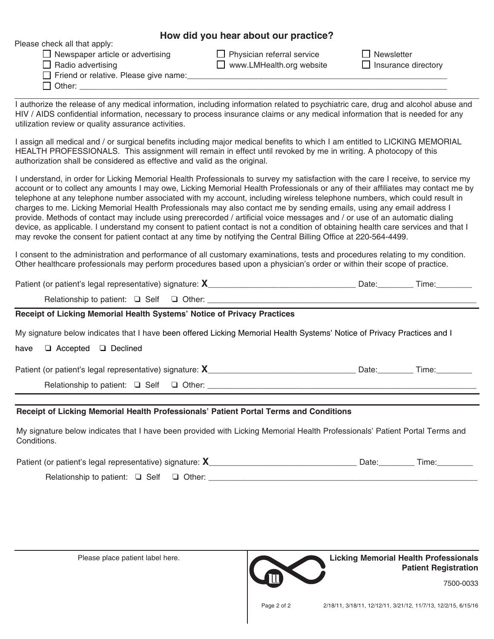## **How did you hear about our practice?**

| Please check all that apply:<br>$\Box$ Newspaper article or advertising<br>$\Box$ Radio advertising<br>Friend or relative. Please give name:<br>$\Box$ Other:                                                                                                                                                             | $\Box$ Physician referral service<br>$\Box$ www.LMHealth.org website | Newsletter<br>$\Box$ Insurance directory |
|---------------------------------------------------------------------------------------------------------------------------------------------------------------------------------------------------------------------------------------------------------------------------------------------------------------------------|----------------------------------------------------------------------|------------------------------------------|
| authorize the release of any medical information, including information related to psychiatric care, drug and alcohol abuse and<br>HIV / AIDS confidential information, necessary to process insurance claims or any medical information that is needed for any<br>utilization review or quality assurance activities.    |                                                                      |                                          |
| assign all medical and / or surgical benefits including major medical benefits to which I am entitled to LICKING MEMORIAL<br>HEALTH PROFESSIONALS. This assignment will remain in effect until revoked by me in writing. A photocopy of this<br>authorization shall be considered as effective and valid as the original. |                                                                      |                                          |

**How did you hear about our practice?** account or to collect any amounts I may owe, Licking Memorial Health Professionals or any of their affiliates may contact me by I understand, in order for Licking Memorial Health Professionals to survey my satisfaction with the care I receive, to service my telephone at any telephone number associated with my account, including wireless telephone numbers, which could result in charges to me. Licking Memorial Health Professionals may also contact me by sending emails, using any email address I provide. Methods of contact may include using prerecorded / artificial voice messages and / or use of an automatic dialing device, as applicable. I understand my consent to patient contact is not a condition of obtaining health care services and that I may revoke the consent for patient contact at any time by notifying the Central Billing Office at 220-564-4499.

I consent to the administration and performance of all customary examinations, tests and procedures relating to my condition. Other healthcare professionals may perform procedures based upon a physician's order or within their scope of practice.

Patient (or patient's legal representative) signature: **X**\_\_\_\_\_\_\_\_\_\_\_\_\_\_\_\_\_\_\_\_\_\_\_\_\_\_\_\_\_\_\_\_\_ Date:\_\_\_\_\_\_\_\_ Time:\_\_\_\_\_\_\_\_

Relationship to patient: q Self q Other: \_\_\_\_\_\_\_\_\_\_\_\_\_\_\_\_\_\_\_\_\_\_\_\_\_\_\_\_\_\_\_\_\_\_\_\_\_\_\_\_\_\_\_\_\_\_\_\_\_\_\_\_\_\_\_\_\_\_\_\_

## **Receipt of Licking Memorial Health Systems' Notice of Privacy Practices**

My signature below indicates that I have been offered Licking Memorial Health Systems' Notice of Privacy Practices and I

have  $\Box$  Accepted  $\Box$  Declined

Patient (or patient's legal representative) signature: **X\_\_\_\_\_\_\_\_\_\_\_\_\_\_\_\_\_\_\_\_\_\_\_\_\_\_\_\_\_\_** Date: Time: Time:

Relationship to patient:  $\Box$  Self  $\Box$  Other: \_\_\_\_\_\_\_\_\_\_\_\_\_\_\_\_\_\_\_\_\_\_\_\_\_\_\_\_\_\_\_\_\_\_

## **Receipt of Licking Memorial Health Professionals' Patient Portal Terms and Conditions**

My signature below indicates that I have been provided with Licking Memorial Health Professionals' Patient Portal Terms and Conditions.

| Patient (or patient's legal representative) signature: $X$ |  |
|------------------------------------------------------------|--|
| Relationship to patient: $\Box$ Self $\Box$ Other:         |  |

Please place patient label here.

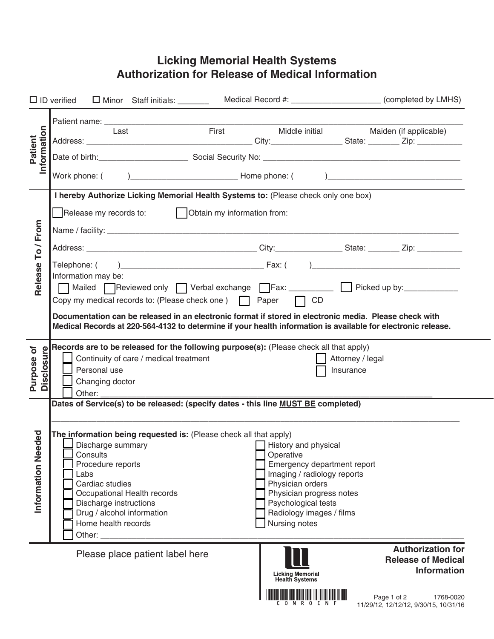## **Licking Memorial Health Systems Authorization for Release of Medical Information**

|                                   | $\Box$ ID verified $\Box$ Minor Staff initials:                                                                                                                                                                                                                                                                                                                                          | Medical Record #: ___________________________ (completed by LMHS)                                                                                                                                                   |
|-----------------------------------|------------------------------------------------------------------------------------------------------------------------------------------------------------------------------------------------------------------------------------------------------------------------------------------------------------------------------------------------------------------------------------------|---------------------------------------------------------------------------------------------------------------------------------------------------------------------------------------------------------------------|
| Information<br>Patient            | First<br>Last                                                                                                                                                                                                                                                                                                                                                                            | Middle initial<br>Maiden (if applicable)<br>Date of birth: <u>Communications of Social Security No: Communications of the Social Security No:</u>                                                                   |
|                                   | I hereby Authorize Licking Memorial Health Systems to: (Please check only one box)                                                                                                                                                                                                                                                                                                       |                                                                                                                                                                                                                     |
| To / From                         |                                                                                                                                                                                                                                                                                                                                                                                          |                                                                                                                                                                                                                     |
|                                   |                                                                                                                                                                                                                                                                                                                                                                                          |                                                                                                                                                                                                                     |
| Release                           | Information may be:                                                                                                                                                                                                                                                                                                                                                                      | Mailed Reviewed only Verbal exchange Fax: ________ Picked up by:________                                                                                                                                            |
|                                   | Copy my medical records to: (Please check one)   Paper   CD<br>Documentation can be released in an electronic format if stored in electronic media. Please check with                                                                                                                                                                                                                    | Medical Records at 220-564-4132 to determine if your health information is available for electronic release.                                                                                                        |
| <b>Disclosure</b><br>৳<br>Purpose | Records are to be released for the following purpose(s): (Please check all that apply)<br>Continuity of care / medical treatment<br>Personal use<br>Changing doctor<br>Other:                                                                                                                                                                                                            | Attorney / legal<br>Insurance                                                                                                                                                                                       |
| eded<br>Information Ne            | Dates of Service(s) to be released: (specify dates - this line MUST BE completed)<br>The information being requested is: (Please check all that apply)<br>Discharge summary<br>Consults<br>Procedure reports<br>Labs<br>Cardiac studies<br>Occupational Health records<br>Discharge instructions<br>Drug / alcohol information<br>Home health records<br>Other: $\overline{\phantom{a}}$ | History and physical<br>Operative<br>Emergency department report<br>Imaging / radiology reports<br>Physician orders<br>Physician progress notes<br>Psychological tests<br>Radiology images / films<br>Nursing notes |
|                                   | Please place patient label here                                                                                                                                                                                                                                                                                                                                                          | <b>Authorization for</b><br><b>Release of Medical</b><br><b>Information</b><br>Licking Memorial<br>Health Systems                                                                                                   |